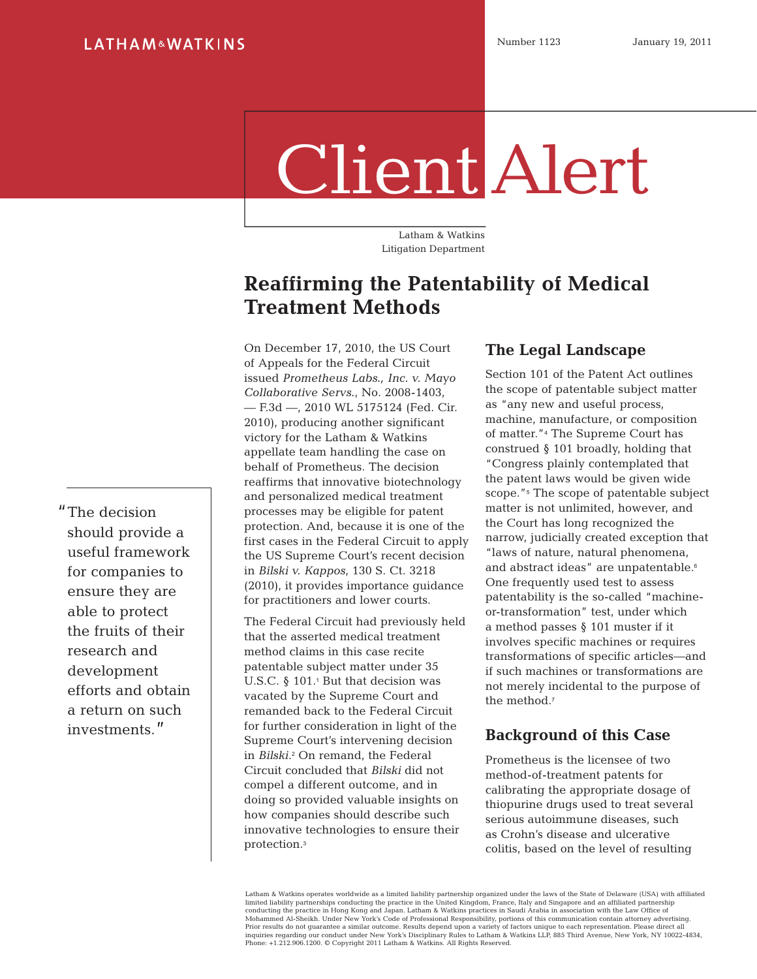# Client Alert

Latham & Watkins Litigation Department

# **Reaffirming the Patentability of Medical Treatment Methods**

On December 17, 2010, the US Court of Appeals for the Federal Circuit issued *Prometheus Labs., Inc. v. Mayo Collaborative Servs.*, No. 2008-1403, — F.3d —, 2010 WL 5175124 (Fed. Cir. 2010), producing another significant victory for the Latham & Watkins appellate team handling the case on behalf of Prometheus. The decision reaffirms that innovative biotechnology and personalized medical treatment processes may be eligible for patent protection. And, because it is one of the first cases in the Federal Circuit to apply the US Supreme Court's recent decision in *Bilski v. Kappos*, 130 S. Ct. 3218 (2010), it provides importance guidance for practitioners and lower courts.

The Federal Circuit had previously held that the asserted medical treatment method claims in this case recite patentable subject matter under 35 U.S.C.  $\S$  101.<sup>1</sup> But that decision was vacated by the Supreme Court and remanded back to the Federal Circuit for further consideration in light of the Supreme Court's intervening decision in *Bilski*.2 On remand, the Federal Circuit concluded that *Bilski* did not compel a different outcome, and in doing so provided valuable insights on how companies should describe such innovative technologies to ensure their protection.<sup>3</sup>

# **The Legal Landscape**

Section 101 of the Patent Act outlines the scope of patentable subject matter as "any new and useful process, machine, manufacture, or composition of matter."4 The Supreme Court has construed § 101 broadly, holding that "Congress plainly contemplated that the patent laws would be given wide scope."<sup>5</sup> The scope of patentable subject matter is not unlimited, however, and the Court has long recognized the narrow, judicially created exception that "laws of nature, natural phenomena, and abstract ideas" are unpatentable.<sup>6</sup> One frequently used test to assess patentability is the so-called "machineor-transformation" test, under which a method passes § 101 muster if it involves specific machines or requires transformations of specific articles—and if such machines or transformations are not merely incidental to the purpose of the method.<sup>7</sup>

## **Background of this Case**

Prometheus is the licensee of two method-of-treatment patents for calibrating the appropriate dosage of thiopurine drugs used to treat several serious autoimmune diseases, such as Crohn's disease and ulcerative colitis, based on the level of resulting

Latham & Watkins operates worldwide as a limited liability partnership organized under the laws of the State of Delaware (USA) with affiliated limited liability partnerships conducting the practice in the United Kingdom, France, Italy and Singapore and an affiliated partnership<br>conducting the practice in Hong Kong and Japan. Latham & Watkins practices in Saudi Ar inquiries regarding our conduct under New York's Disciplinary Rules to Latham & Watkins LLP, 885 Third Avenue, New York, NY 10022-4834, Phone: +1.212.906.1200. © Copyright 2011 Latham & Watkins. All Rights Reserved.

"The decision should provide a useful framework for companies to ensure they are able to protect the fruits of their research and development efforts and obtain a return on such investments."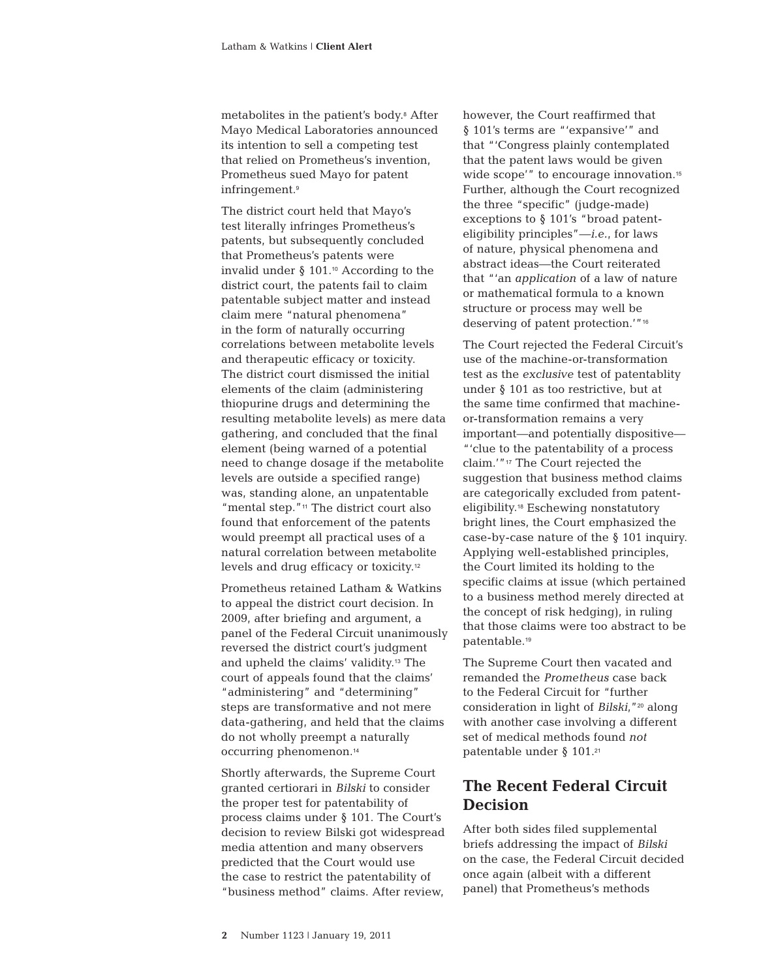metabolites in the patient's body.8 After Mayo Medical Laboratories announced its intention to sell a competing test that relied on Prometheus's invention, Prometheus sued Mayo for patent infringement.<sup>9</sup>

The district court held that Mayo's test literally infringes Prometheus's patents, but subsequently concluded that Prometheus's patents were invalid under  $\S$  101.<sup>10</sup> According to the district court, the patents fail to claim patentable subject matter and instead claim mere "natural phenomena" in the form of naturally occurring correlations between metabolite levels and therapeutic efficacy or toxicity. The district court dismissed the initial elements of the claim (administering thiopurine drugs and determining the resulting metabolite levels) as mere data gathering, and concluded that the final element (being warned of a potential need to change dosage if the metabolite levels are outside a specified range) was, standing alone, an unpatentable "mental step."11 The district court also found that enforcement of the patents would preempt all practical uses of a natural correlation between metabolite levels and drug efficacy or toxicity.<sup>12</sup>

Prometheus retained Latham & Watkins to appeal the district court decision. In 2009, after briefing and argument, a panel of the Federal Circuit unanimously reversed the district court's judgment and upheld the claims' validity.13 The court of appeals found that the claims' "administering" and "determining" steps are transformative and not mere data-gathering, and held that the claims do not wholly preempt a naturally occurring phenomenon.<sup>14</sup>

Shortly afterwards, the Supreme Court granted certiorari in *Bilski* to consider the proper test for patentability of process claims under § 101. The Court's decision to review Bilski got widespread media attention and many observers predicted that the Court would use the case to restrict the patentability of "business method" claims. After review,

however, the Court reaffirmed that § 101's terms are "'expansive'" and that "'Congress plainly contemplated that the patent laws would be given wide scope'" to encourage innovation.<sup>15</sup> Further, although the Court recognized the three "specific" (judge-made) exceptions to § 101's "broad patenteligibility principles"—*i.e.*, for laws of nature, physical phenomena and abstract ideas—the Court reiterated that "'an *application* of a law of nature or mathematical formula to a known structure or process may well be deserving of patent protection.'"<sup>16</sup>

The Court rejected the Federal Circuit's use of the machine-or-transformation test as the *exclusive* test of patentablity under § 101 as too restrictive, but at the same time confirmed that machineor-transformation remains a very important—and potentially dispositive— "'clue to the patentability of a process claim.'"17 The Court rejected the suggestion that business method claims are categorically excluded from patenteligibility.18 Eschewing nonstatutory bright lines, the Court emphasized the case-by-case nature of the § 101 inquiry. Applying well-established principles, the Court limited its holding to the specific claims at issue (which pertained to a business method merely directed at the concept of risk hedging), in ruling that those claims were too abstract to be patentable.<sup>19</sup>

The Supreme Court then vacated and remanded the *Prometheus* case back to the Federal Circuit for "further consideration in light of *Bilski*,"20 along with another case involving a different set of medical methods found *not* patentable under § 101.<sup>21</sup>

# **The Recent Federal Circuit Decision**

After both sides filed supplemental briefs addressing the impact of *Bilski* on the case, the Federal Circuit decided once again (albeit with a different panel) that Prometheus's methods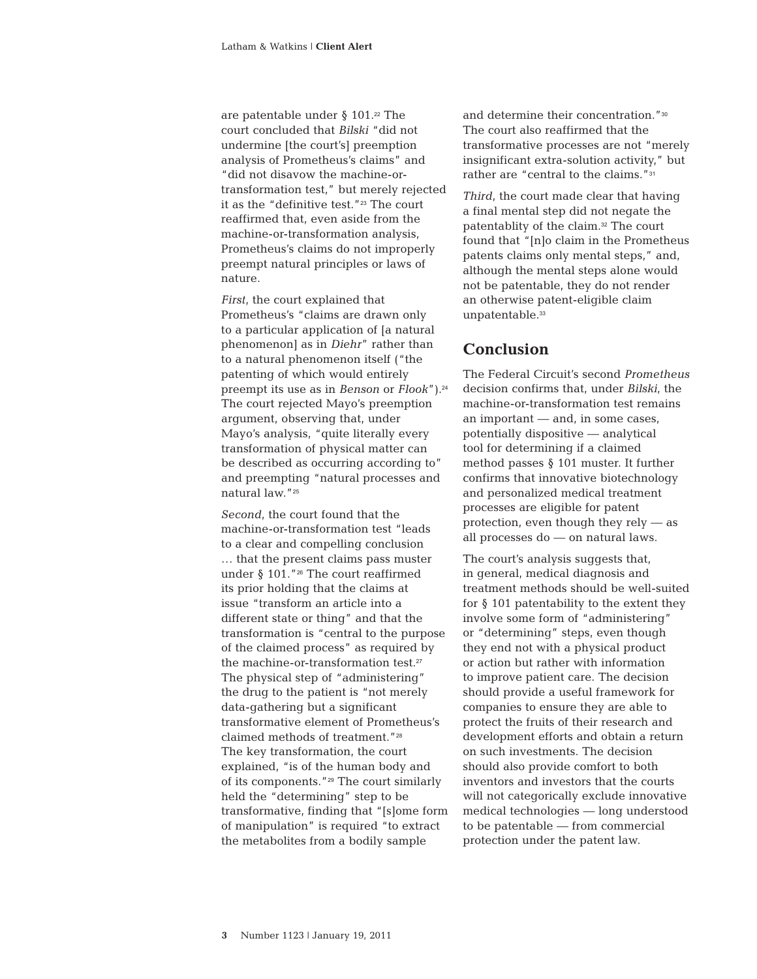are patentable under  $\S$  101.<sup>22</sup> The court concluded that *Bilski* "did not undermine [the court's] preemption analysis of Prometheus's claims" and "did not disavow the machine-ortransformation test," but merely rejected it as the "definitive test."23 The court reaffirmed that, even aside from the machine-or-transformation analysis, Prometheus's claims do not improperly preempt natural principles or laws of nature.

*First*, the court explained that Prometheus's "claims are drawn only to a particular application of [a natural phenomenon] as in *Diehr*" rather than to a natural phenomenon itself ("the patenting of which would entirely preempt its use as in *Benson* or *Flook*").<sup>24</sup> The court rejected Mayo's preemption argument, observing that, under Mayo's analysis, "quite literally every transformation of physical matter can be described as occurring according to" and preempting "natural processes and natural law."<sup>25</sup>

*Second*, the court found that the machine-or-transformation test "leads to a clear and compelling conclusion … that the present claims pass muster under  $\S$  101."<sup>26</sup> The court reaffirmed its prior holding that the claims at issue "transform an article into a different state or thing" and that the transformation is "central to the purpose of the claimed process" as required by the machine-or-transformation test.<sup>27</sup> The physical step of "administering" the drug to the patient is "not merely data-gathering but a significant transformative element of Prometheus's claimed methods of treatment."<sup>28</sup> The key transformation, the court explained, "is of the human body and of its components."29 The court similarly held the "determining" step to be transformative, finding that "[s]ome form of manipulation" is required "to extract the metabolites from a bodily sample

and determine their concentration."<sup>30</sup> The court also reaffirmed that the transformative processes are not "merely insignificant extra-solution activity," but rather are "central to the claims."<sup>31</sup>

*Third*, the court made clear that having a final mental step did not negate the patentablity of the claim.32 The court found that "[n]o claim in the Prometheus patents claims only mental steps," and, although the mental steps alone would not be patentable, they do not render an otherwise patent-eligible claim unpatentable.<sup>33</sup>

# **Conclusion**

The Federal Circuit's second *Prometheus* decision confirms that, under *Bilski*, the machine-or-transformation test remains an important — and, in some cases, potentially dispositive — analytical tool for determining if a claimed method passes § 101 muster. It further confirms that innovative biotechnology and personalized medical treatment processes are eligible for patent protection, even though they rely — as all processes do — on natural laws.

The court's analysis suggests that, in general, medical diagnosis and treatment methods should be well-suited for  $\S$  101 patentability to the extent they involve some form of "administering" or "determining" steps, even though they end not with a physical product or action but rather with information to improve patient care. The decision should provide a useful framework for companies to ensure they are able to protect the fruits of their research and development efforts and obtain a return on such investments. The decision should also provide comfort to both inventors and investors that the courts will not categorically exclude innovative medical technologies — long understood to be patentable — from commercial protection under the patent law.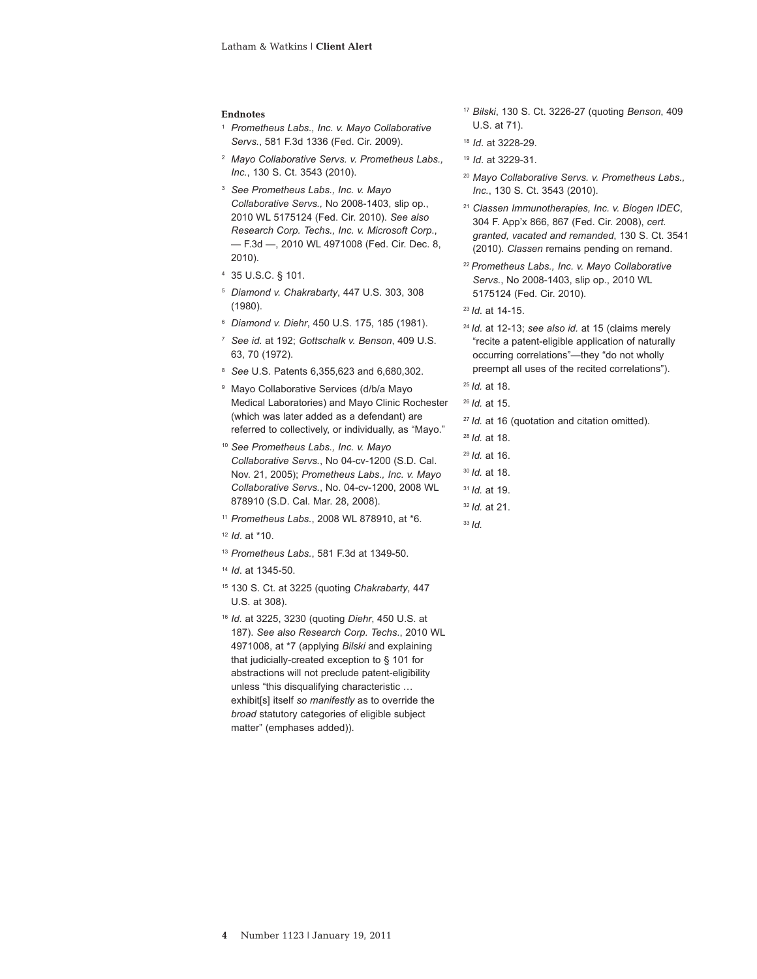#### **Endnotes**

- <sup>1</sup> *Prometheus Labs., Inc. v. Mayo Collaborative Servs.*, 581 F.3d 1336 (Fed. Cir. 2009).
- <sup>2</sup> *Mayo Collaborative Servs. v. Prometheus Labs., Inc.*, 130 S. Ct. 3543 (2010).
- <sup>3</sup> *See Prometheus Labs., Inc. v. Mayo Collaborative Servs.,* No 2008-1403, slip op., 2010 WL 5175124 (Fed. Cir. 2010). *See also Research Corp. Techs., Inc. v. Microsoft Corp*., — F.3d —, 2010 WL 4971008 (Fed. Cir. Dec. 8, 2010).
- 4 35 U.S.C. § 101.
- <sup>5</sup> *Diamond v. Chakrabarty*, 447 U.S. 303, 308 (1980).
- <sup>6</sup> *Diamond v. Diehr*, 450 U.S. 175, 185 (1981).
- <sup>7</sup> *See id.* at 192; *Gottschalk v. Benson*, 409 U.S. 63, 70 (1972).
- <sup>8</sup> *See* U.S. Patents 6,355,623 and 6,680,302.
- <sup>9</sup> Mayo Collaborative Services (d/b/a Mayo Medical Laboratories) and Mayo Clinic Rochester (which was later added as a defendant) are referred to collectively, or individually, as "Mayo."
- <sup>10</sup> *See Prometheus Labs., Inc. v. Mayo Collaborative Servs.*, No 04-cv-1200 (S.D. Cal. Nov. 21, 2005); *Prometheus Labs., Inc. v. Mayo Collaborative Servs.*, No. 04-cv-1200, 2008 WL 878910 (S.D. Cal. Mar. 28, 2008).
- <sup>11</sup> *Prometheus Labs.*, 2008 WL 878910, at \*6.
- <sup>12</sup> *Id*. at \*10.
- <sup>13</sup> *Prometheus Labs.*, 581 F.3d at 1349-50.
- <sup>14</sup> *Id*. at 1345-50.
- 15 130 S. Ct. at 3225 (quoting *Chakrabarty*, 447 U.S. at 308).
- <sup>16</sup> *Id.* at 3225, 3230 (quoting *Diehr*, 450 U.S. at 187). *See also Research Corp. Techs*., 2010 WL 4971008, at \*7 (applying *Bilski* and explaining that judicially-created exception to § 101 for abstractions will not preclude patent-eligibility unless "this disqualifying characteristic … exhibit[s] itself *so manifestly* as to override the *broad* statutory categories of eligible subject matter" (emphases added)).
- <sup>17</sup> *Bilski*, 130 S. Ct. 3226-27 (quoting *Benson*, 409 U.S. at 71).
- <sup>18</sup> *Id*. at 3228-29.
- <sup>19</sup> *Id*. at 3229-31.
- <sup>20</sup> *Mayo Collaborative Servs. v. Prometheus Labs., Inc.*, 130 S. Ct. 3543 (2010).
- <sup>21</sup> *Classen Immunotherapies, Inc. v. Biogen IDEC*, 304 F. App'x 866, 867 (Fed. Cir. 2008), *cert. granted, vacated and remanded*, 130 S. Ct. 3541 (2010). *Classen* remains pending on remand.
- <sup>22</sup> *Prometheus Labs., Inc. v. Mayo Collaborative Servs.*, No 2008-1403, slip op., 2010 WL 5175124 (Fed. Cir. 2010).
- <sup>23</sup> *Id*. at 14-15.
- <sup>24</sup> *Id*. at 12-13; *see also id.* at 15 (claims merely "recite a patent-eligible application of naturally occurring correlations"—they "do not wholly preempt all uses of the recited correlations").
- <sup>25</sup> *Id.* at 18.
- <sup>26</sup> *Id.* at 15.
- <sup>27</sup> *Id.* at 16 (quotation and citation omitted).
- <sup>28</sup> *Id.* at 18.
- <sup>29</sup> *Id.* at 16.
- <sup>30</sup> *Id.* at 18.
- <sup>31</sup> *Id.* at 19.
- <sup>32</sup> *Id.* at 21.
- <sup>33</sup> *Id.*